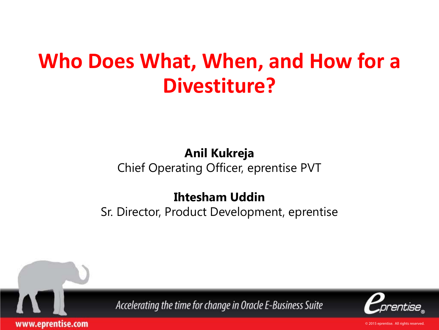### **Who Does What, When, and How for a Divestiture?**

### **Anil Kukreja**

Chief Operating Officer, eprentise PVT

### **Ihtesham Uddin**

Sr. Director, Product Development, eprentise



www.eprentise.com

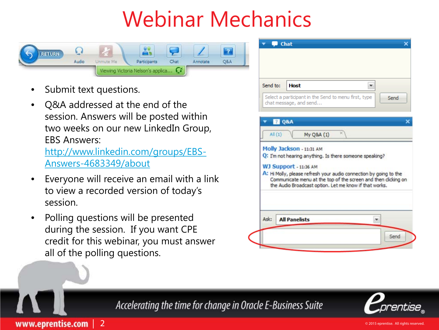## Webinar Mechanics



- Submit text questions.
- Q&A addressed at the end of the session. Answers will be posted within two weeks on our new LinkedIn Group, EBS Answers:

[http://www.linkedin.com/groups/EBS-](http://www.linkedin.com/groups/EBS-Answers-4683349/about)[Answers-4683349/about](http://www.linkedin.com/groups/EBS-Answers-4683349/about)

- Everyone will receive an email with a link to view a recorded version of today's session.
- Polling questions will be presented during the session. If you want CPE credit for this webinar, you must answer all of the polling questions.





Accelerating the time for change in Oracle E-Business Suite



www.eprentise.com | 2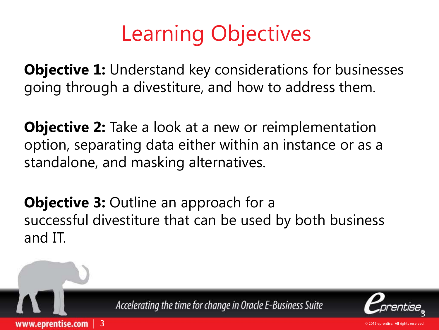## Learning Objectives

**Objective 1:** Understand key considerations for businesses going through a divestiture, and how to address them.

**Objective 2:** Take a look at a new or reimplementation option, separating data either within an instance or as a standalone, and masking alternatives.

**Objective 3: Outline an approach for a** successful divestiture that can be used by both business and IT.

Accelerating the time for change in Oracle E-Business Suite

| 3

www.eprentise.com

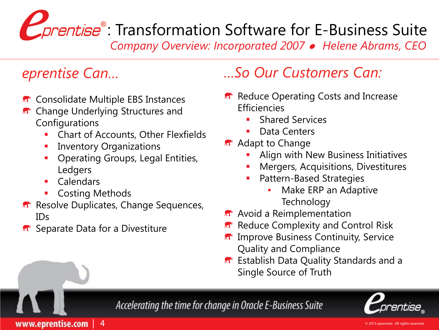# **Conduise**: Transformation Software for E-Business Suite

*Company Overview: Incorporated 2007 Helene Abrams, CEO*

- **n** Consolidate Multiple EBS Instances
- **R** Change Underlying Structures and Configurations
	- Chart of Accounts, Other Flexfields
	- Inventory Organizations
	- **Operating Groups, Legal Entities,** Ledgers
	- Calendars

www.eprentise.com

- Costing Methods
- Resolve Duplicates, Change Sequences, IDs
- **n** Separate Data for a Divestiture

 $\frac{4}{3}$ 

### *eprentise Can… …So Our Customers Can:*

- **R** Reduce Operating Costs and Increase **Efficiencies** 
	- Shared Services
	- Data Centers
- **Adapt to Change** 
	- Align with New Business Initiatives
	- Mergers, Acquisitions, Divestitures
	- Pattern-Based Strategies
		- Make ERP an Adaptive **Technology**
- **A**<sup> $\bullet$ </sup> Avoid a Reimplementation
- Reduce Complexity and Control Risk
- Improve Business Continuity, Service Quality and Compliance
- **R** Establish Data Quality Standards and a Single Source of Truth

Accelerating the time for change in Oracle E-Business Suite

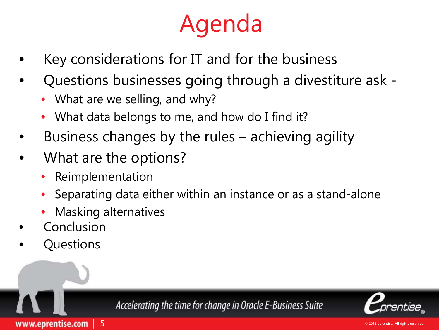## Agenda

- Key considerations for IT and for the business
- Questions businesses going through a divestiture ask
	- What are we selling, and why?
	- What data belongs to me, and how do I find it?
- Business changes by the rules achieving agility
- What are the options?
	- Reimplementation
	- Separating data either within an instance or as a stand-alone
	- Masking alternatives

| 5

- **Conclusion**
- Questions

www.eprentise.com

Accelerating the time for change in Oracle E-Business Suite

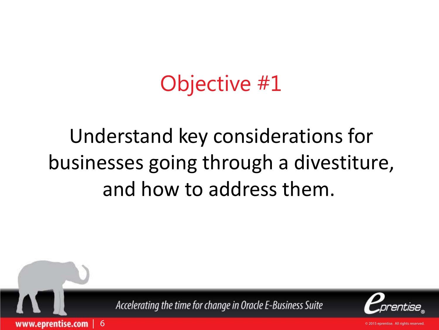### Objective #1

### Understand key considerations for businesses going through a divestiture, and how to address them.



| 6

www.eprentise.com

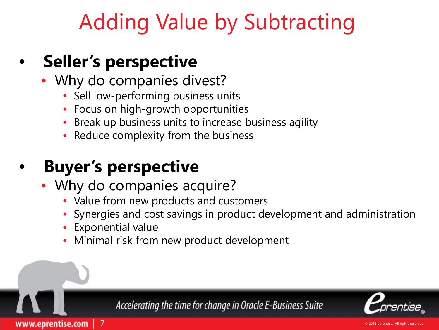### Adding Value by Subtracting

### • **Seller's perspective**

- Why do companies divest?
	- Sell low-performing business units
	- Focus on high-growth opportunities
	- Break up business units to increase business agility
	- Reduce complexity from the business

### • **Buyer's perspective**

- Why do companies acquire?
	- Value from new products and customers
	- Synergies and cost savings in product development and administration
	- Exponential value

| 7

www.eprentise.com

• Minimal risk from new product development

Accelerating the time for change in Oracle E-Business Suite

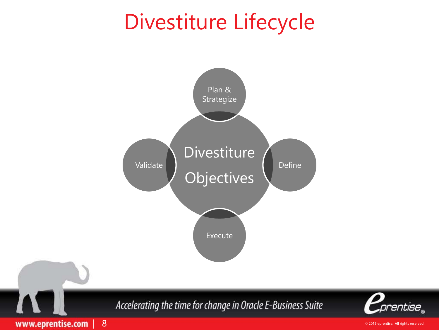### Divestiture Lifecycle



© 2015 eprentise. All rights reserved.

prentise<sub>.</sub>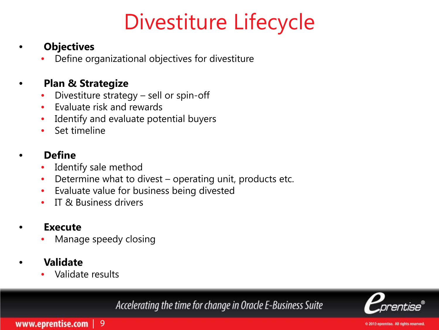### Divestiture Lifecycle

#### • **Objectives**

• Define organizational objectives for divestiture

#### • **Plan & Strategize**

- Divestiture strategy sell or spin-off
- Evaluate risk and rewards
- Identify and evaluate potential buyers
- Set timeline

#### • **Define**

- Identify sale method
- Determine what to divest operating unit, products etc.
- Evaluate value for business being divested
- IT & Business drivers

#### • **Execute**

• Manage speedy closing

#### • **Validate**

• Validate results

Accelerating the time for change in Oracle E-Business Suite

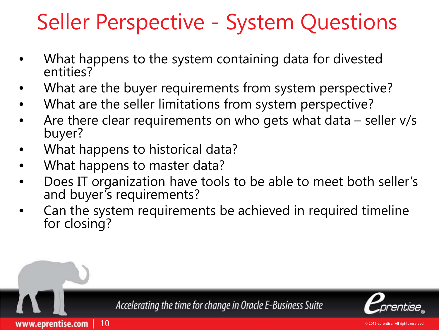### Seller Perspective - System Questions

- What happens to the system containing data for divested entities?
- What are the buyer requirements from system perspective?
- What are the seller limitations from system perspective?
- Are there clear requirements on who gets what data  $-$  seller  $v/s$ buyer?
- What happens to historical data?
- What happens to master data?

| 10

www.eprentise.com

- Does IT organization have tools to be able to meet both seller's and buyer's requirements?
- Can the system requirements be achieved in required timeline for closing?

Accelerating the time for change in Oracle E-Business Suite

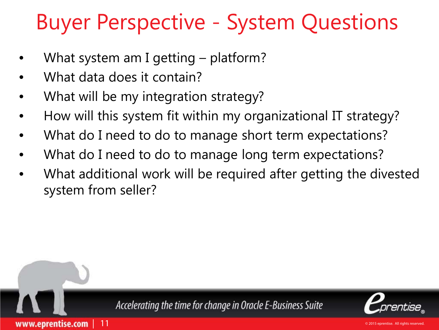### Buyer Perspective - System Questions

- What system am I getting platform?
- What data does it contain?

| 11

www.eprentise.com

- What will be my integration strategy?
- How will this system fit within my organizational IT strategy?
- What do I need to do to manage short term expectations?
- What do I need to do to manage long term expectations?
- What additional work will be required after getting the divested system from seller?



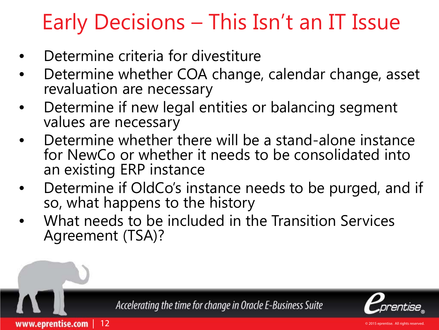## Early Decisions – This Isn't an IT Issue

Determine criteria for divestiture

| 12

www.eprentise.com

- Determine whether COA change, calendar change, asset revaluation are necessary
- Determine if new legal entities or balancing segment values are necessary
- Determine whether there will be a stand-alone instance for NewCo or whether it needs to be consolidated into an existing ERP instance
- Determine if OldCo's instance needs to be purged, and if so, what happens to the history
- What needs to be included in the Transition Services Agreement (TSA)?

Accelerating the time for change in Oracle E-Business Suite

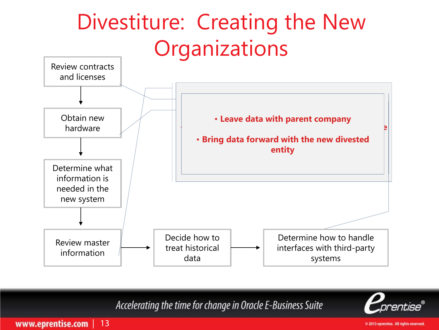### Divestiture: Creating the New **Organizations**



Accelerating the time for change in Oracle E-Business Suite



www.eprentise.com | 13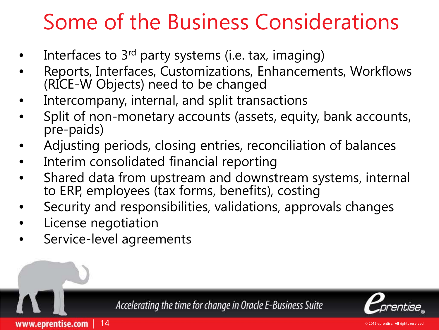### Some of the Business Considerations

- Interfaces to  $3<sup>rd</sup>$  party systems (i.e. tax, imaging)
- Reports, Interfaces, Customizations, Enhancements, Workflows (RICE-W Objects) need to be changed
- Intercompany, internal, and split transactions
- Split of non-monetary accounts (assets, equity, bank accounts, pre-paids)
- Adjusting periods, closing entries, reconciliation of balances
- Interim consolidated financial reporting
- Shared data from upstream and downstream systems, internal to ERP, employees (tax forms, benefits), costing
- Security and responsibilities, validations, approvals changes
- License negotiation
- Service-level agreements

| 14

www.eprentise.com

Accelerating the time for change in Oracle E-Business Suite

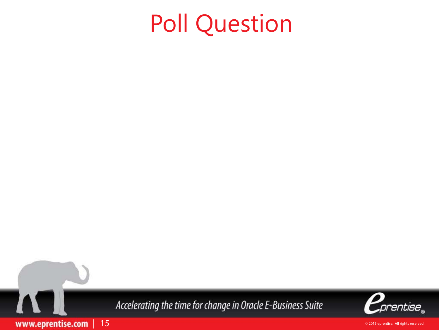## Poll Question



| 15

www.eprentise.com

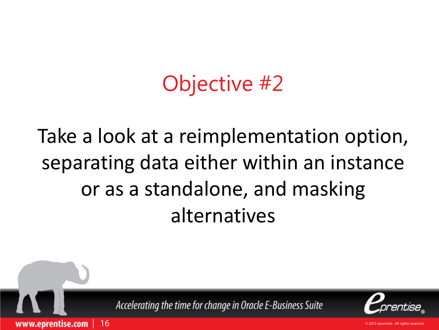### Objective #2

### Take a look at a reimplementation option, separating data either within an instance or as a standalone, and masking alternatives

Accelerating the time for change in Oracle E-Business Suite

www.eprentise.com

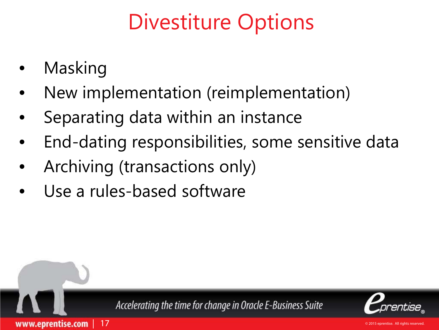### Divestiture Options

- Masking
- New implementation (reimplementation)
- Separating data within an instance
- End-dating responsibilities, some sensitive data
- Archiving (transactions only)
- Use a rules-based software

| 17

www.eprentise.com



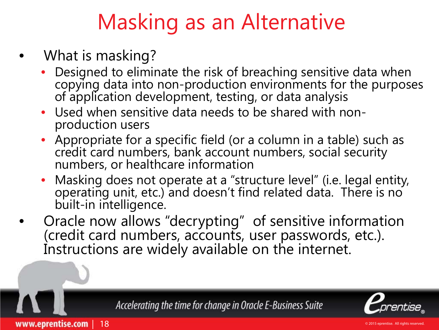### Masking as an Alternative

- What is masking?
	- Designed to eliminate the risk of breaching sensitive data when copying data into non-production environments for the purposes of application development, testing, or data analysis
	- Used when sensitive data needs to be shared with non- production users
	- Appropriate for a specific field (or a column in a table) such as credit card numbers, bank account numbers, social security numbers, or healthcare information
	- Masking does not operate at a "structure level" (i.e. legal entity, operating unit, etc.) and doesn't find related data. There is no built-in intelligence.
- Oracle now allows "decrypting" of sensitive information (credit card numbers, accounts, user passwords, etc.). Instructions are widely available on the internet.

Accelerating the time for change in Oracle E-Business Suite



www.eprentise.com | 18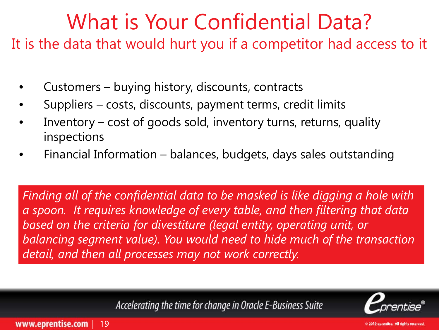### What is Your Confidential Data?

It is the data that would hurt you if a competitor had access to it

- Customers buying history, discounts, contracts
- Suppliers costs, discounts, payment terms, credit limits
- Inventory cost of goods sold, inventory turns, returns, quality inspections
- Financial Information balances, budgets, days sales outstanding

*Finding all of the confidential data to be masked is like digging a hole with a spoon. It requires knowledge of every table, and then filtering that data based on the criteria for divestiture (legal entity, operating unit, or balancing segment value). You would need to hide much of the transaction detail, and then all processes may not work correctly.*

Accelerating the time for change in Oracle E-Business Suite



www.eprentise.com | 19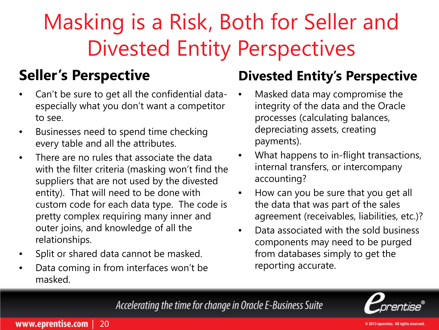## Masking is a Risk, Both for Seller and Divested Entity Perspectives

### **Seller's Perspective**

- Can't be sure to get all the confidential dataespecially what you don't want a competitor to see.
- Businesses need to spend time checking every table and all the attributes.
- There are no rules that associate the data with the filter criteria (masking won't find the suppliers that are not used by the divested entity). That will need to be done with custom code for each data type. The code is pretty complex requiring many inner and outer joins, and knowledge of all the relationships.
- Split or shared data cannot be masked.
- Data coming in from interfaces won't be masked.

### **Divested Entity's Perspective**

- Masked data may compromise the integrity of the data and the Oracle processes (calculating balances, depreciating assets, creating payments).
- What happens to in-flight transactions, internal transfers, or intercompany accounting?
- How can you be sure that you get all the data that was part of the sales agreement (receivables, liabilities, etc.)?
- Data associated with the sold business components may need to be purged from databases simply to get the reporting accurate.

Accelerating the time for change in Oracle E-Business Suite

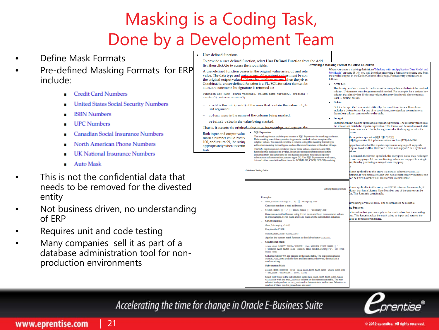### Masking is a Coding Task, Done by a Development Team

**User-defined functions** 

To provide a user-defined function, select User Defined Function from the Add

- Define Mask Formats
- Pre-defined Masking Formats for ERP include:
	- **Credit Card Numbers**
	- **United States Social Security Numbers**
	- **ISBN Numbers**
	- **UPC Numbers**
	- **Canadian Social Insurance Numbers**
	- North American Phone Numbers
	- **UK National Insurance Numbers**
	- **Auto Mask**
- This is not the confidential data that needs to be removed for the divested entity
- Not business driven, no understanding of ERP
- Requires unit and code testing
- Many companies sell it as part of a database administration tool for nonproduction environments

| list, then click Go to access the input fields.                                                                                                                                                                                                                                                                                                       |                                                                                                                                                                                                                                                                                                                | Providing a Masking Format to Define a Column                                                                                                                         |                                                                                                                                                                                                                                                                                                                                                      |
|-------------------------------------------------------------------------------------------------------------------------------------------------------------------------------------------------------------------------------------------------------------------------------------------------------------------------------------------------------|----------------------------------------------------------------------------------------------------------------------------------------------------------------------------------------------------------------------------------------------------------------------------------------------------------------|-----------------------------------------------------------------------------------------------------------------------------------------------------------------------|------------------------------------------------------------------------------------------------------------------------------------------------------------------------------------------------------------------------------------------------------------------------------------------------------------------------------------------------------|
| A user-defined function passes in the original value as input, and retu<br>value. The data type and uniqueness of the output values must be con<br>the original output value. Otherwise a failure occurs, when the job r<br>Combinable, a user-defined function is a PL/SQL function that can be<br>a SELECT statement. Its signature is returned as: |                                                                                                                                                                                                                                                                                                                | follows:<br><b>Array List</b>                                                                                                                                         | When you create a masking definition ("Masking with an Application Data Model and<br>Workloads" on page 18-16), you will be either importing a format or selecting one from<br>the available types in the Define Column Mask page. Format entry options are as<br>The data type of each value in the list must be compatible with that of the masked |
| Function udf func (rowid varchar2, column name varchar2, original<br>varchar2) returns varchar2;                                                                                                                                                                                                                                                      |                                                                                                                                                                                                                                                                                                                | least 10 distinct values.                                                                                                                                             | column. Uniqueness must be guaranteed if needed. For example, for a unique key<br>column that already has 10 distinct values, the array list should also contain at                                                                                                                                                                                  |
| rowid is the min (rowid) of the rows that contain the value origin<br>3rd argument.                                                                                                                                                                                                                                                                   |                                                                                                                                                                                                                                                                                                                | Delete                                                                                                                                                                | Deletes the specified rows as identified by the condition clauses. If a column<br>includes a delete format for one of its conditions, a foreign key constraint or a<br>dependent column cannot refer to the table.                                                                                                                                   |
| column_name is the name of the column being masked.                                                                                                                                                                                                                                                                                                   |                                                                                                                                                                                                                                                                                                                | Encrypt                                                                                                                                                               |                                                                                                                                                                                                                                                                                                                                                      |
| original_value is the value being masked.<br>That is, it accepts the original value as an input string, and returns                                                                                                                                                                                                                                   |                                                                                                                                                                                                                                                                                                                | Encrypts column data by specifying a regular expression. The column values in all<br>the rows must match the regular expression. This format can be used to mask data |                                                                                                                                                                                                                                                                                                                                                      |
| Both input and output value                                                                                                                                                                                                                                                                                                                           | SQL Expression<br>This masking format enables you to enter a SQL Expression for masking a column.                                                                                                                                                                                                              |                                                                                                                                                                       | cross databases. That is, for a given value it always generates the<br>value.                                                                                                                                                                                                                                                                        |
| mask a number could receiv<br>100, and return 99, the strin                                                                                                                                                                                                                                                                                           | Data masking uses this expression to generate masked values to replace the<br>original values. You cannot combine a column using this masking format type                                                                                                                                                      |                                                                                                                                                                       | the regular expression [(][1-9][0-9][2][)]<br>-9][4] generates U.S. phone numbers such as (123) 456-7890.                                                                                                                                                                                                                                            |
| appropriately when insertin<br>fails.                                                                                                                                                                                                                                                                                                                 | with other masking format types, such as Random Numbers or Random Strings.<br>The SQL Expression can consist of one or more values, operators, and SQL<br>functions that evaluates to a value. It can also contain substitution columns                                                                        |                                                                                                                                                                       | apports a subset of the regular expression language. It supports<br>ings of fixed widths. However, it does not support * or + syntax of<br>ssions.                                                                                                                                                                                                   |
|                                                                                                                                                                                                                                                                                                                                                       | (columns from the same table as the masked column). You should specify<br>substitution columns within percent signs (%). Use SQL Expressions with dons<br>10b and other user-defined functions for LOB (BLOB, CLOB, NCLOB) masking.                                                                            |                                                                                                                                                                       | s not match the format specified, the encrypted value may no longer<br>o-one mappings. All non-confirming values are mapped to a single<br>ue, thereby producing a many-to-one mapping.                                                                                                                                                              |
|                                                                                                                                                                                                                                                                                                                                                       | Database Testing Guide                                                                                                                                                                                                                                                                                         |                                                                                                                                                                       |                                                                                                                                                                                                                                                                                                                                                      |
|                                                                                                                                                                                                                                                                                                                                                       |                                                                                                                                                                                                                                                                                                                |                                                                                                                                                                       | dumn applicable to this entry is a NUMBER column or a STRING<br>xample, if you mask a column that has a social security number, one<br>can be Fixed Number 900. This format is combinable.                                                                                                                                                           |
|                                                                                                                                                                                                                                                                                                                                                       |                                                                                                                                                                                                                                                                                                                | <b>Defining Masking Formats</b>                                                                                                                                       | dumn applicable to this entry is a STRING column. For example, if<br>slumn that has a License Plate Number, one of the entries can be<br>A. This format is combinable.                                                                                                                                                                               |
|                                                                                                                                                                                                                                                                                                                                                       | <b>Examples:</b><br>- dbms_random.string('u', 8)    '@company.com'                                                                                                                                                                                                                                             |                                                                                                                                                                       |                                                                                                                                                                                                                                                                                                                                                      |
|                                                                                                                                                                                                                                                                                                                                                       | Cenerates random e-mail addresses.                                                                                                                                                                                                                                                                             |                                                                                                                                                                       | umn using a value of NULL. The column must be nullable.                                                                                                                                                                                                                                                                                              |
|                                                                                                                                                                                                                                                                                                                                                       | - Rfirst_nameR    '.'    Rlast_nameR    '@company.com'                                                                                                                                                                                                                                                         |                                                                                                                                                                       | ng Function                                                                                                                                                                                                                                                                                                                                          |
|                                                                                                                                                                                                                                                                                                                                                       | Generates e-mail addresses using first_name and last_name column values.<br>In this example, first_nane and last_nane are the substitution columns.<br><b>CLOB</b> Masking                                                                                                                                     |                                                                                                                                                                       | al function that you can apply to the mask value that the masking<br>tes. This function takes the mask value as input and returns the<br>alue to be used for masking.                                                                                                                                                                                |
|                                                                                                                                                                                                                                                                                                                                                       | dbms_lob.ampty_clob()                                                                                                                                                                                                                                                                                          |                                                                                                                                                                       |                                                                                                                                                                                                                                                                                                                                                      |
|                                                                                                                                                                                                                                                                                                                                                       | Empties the CLOB.                                                                                                                                                                                                                                                                                              |                                                                                                                                                                       |                                                                                                                                                                                                                                                                                                                                                      |
|                                                                                                                                                                                                                                                                                                                                                       | custom_mask_clob(%CLOB_COL&)                                                                                                                                                                                                                                                                                   |                                                                                                                                                                       |                                                                                                                                                                                                                                                                                                                                                      |
|                                                                                                                                                                                                                                                                                                                                                       | Applies the custom mask function to the clob column CLOB_COL.<br><b>Conditional Mask</b>                                                                                                                                                                                                                       |                                                                                                                                                                       |                                                                                                                                                                                                                                                                                                                                                      |
|                                                                                                                                                                                                                                                                                                                                                       | (case when \$PARTY_TYPER-'PERSON' then \$PERSON_FIRST_NAMER     ' '<br>  APERSON_LAST_NAMER else (select dbms_random.string('U', 10) from<br>$dual1$ $end1$                                                                                                                                                    |                                                                                                                                                                       |                                                                                                                                                                                                                                                                                                                                                      |
|                                                                                                                                                                                                                                                                                                                                                       | Columns within %% are present in the same table. The expression masks<br>PERSON FULL NAME with the first and last name; otherwise, the mask is a<br>random string.                                                                                                                                             |                                                                                                                                                                       |                                                                                                                                                                                                                                                                                                                                                      |
|                                                                                                                                                                                                                                                                                                                                                       | <b>Substitution Mask</b>                                                                                                                                                                                                                                                                                       |                                                                                                                                                                       |                                                                                                                                                                                                                                                                                                                                                      |
|                                                                                                                                                                                                                                                                                                                                                       | select MASK_ZIPCODE from data_mask.DATA_MASK_ADDR where ADDR_SEQ<br>- ora_hash( %ZIPCODE%, 1000, 1234)                                                                                                                                                                                                         |                                                                                                                                                                       |                                                                                                                                                                                                                                                                                                                                                      |
|                                                                                                                                                                                                                                                                                                                                                       | Select 1000 rows in the substitution table data mask. DATA MASK ADDR Mask<br>\$21PC0DE8 with the MASK_21PC0DE column in the substitution table. The row<br>selected is dependent on ora_hash and is deterministic in this case. Selection is<br>neliseer to eth<br><b>Countries and development and report</b> |                                                                                                                                                                       |                                                                                                                                                                                                                                                                                                                                                      |

Accelerating the time for change in Oracle E-Business Suite



www.eprentise.com | 21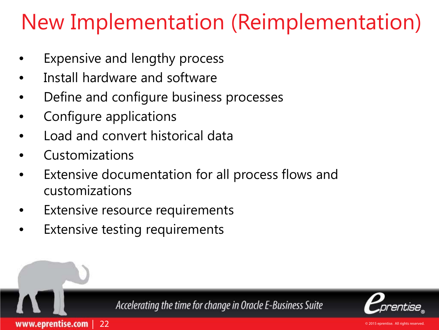### New Implementation (Reimplementation)

- Expensive and lengthy process
- Install hardware and software
- Define and configure business processes
- Configure applications
- Load and convert historical data
- Customizations
- Extensive documentation for all process flows and customizations
- Extensive resource requirements
- **Extensive testing requirements**

| 22

www.eprentise.com

Accelerating the time for change in Oracle E-Business Suite

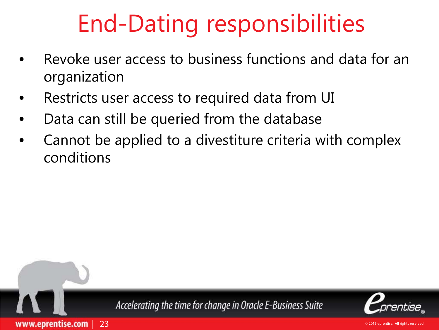## End-Dating responsibilities

- Revoke user access to business functions and data for an organization
- Restricts user access to required data from UI
- Data can still be queried from the database

| 23

www.eprentise.com

• Cannot be applied to a divestiture criteria with complex conditions



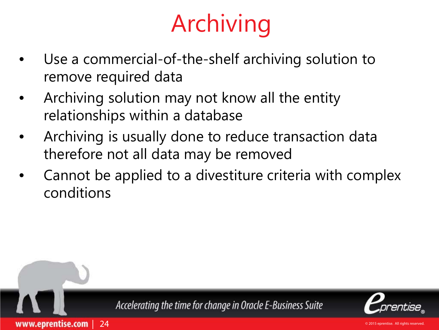## Archiving

- Use a commercial-of-the-shelf archiving solution to remove required data
- Archiving solution may not know all the entity relationships within a database
- Archiving is usually done to reduce transaction data therefore not all data may be removed
- Cannot be applied to a divestiture criteria with complex conditions



| 24

www.eprentise.com

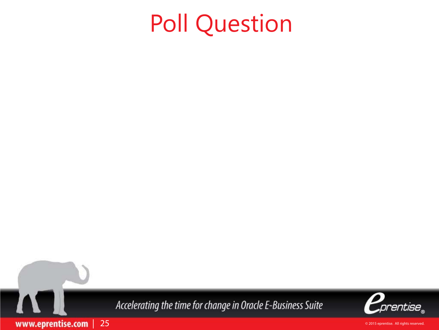## Poll Question



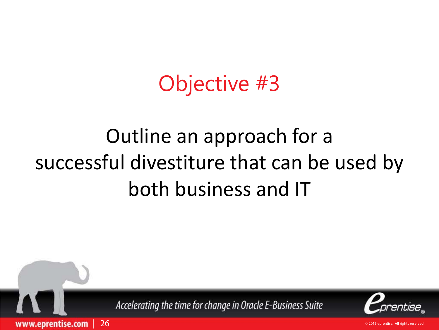### Objective #3

### Outline an approach for a successful divestiture that can be used by both business and IT



| 26

www.eprentise.com

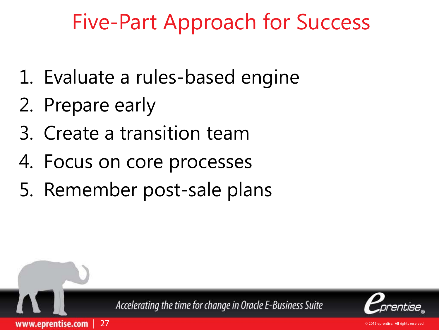### Five-Part Approach for Success

- 1. Evaluate a rules-based engine
- 2. Prepare early

| 27

www.eprentise.com

- 3. Create a transition team
- 4. Focus on core processes
- 5. Remember post-sale plans



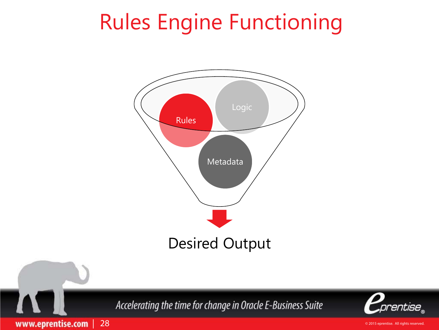### Rules Engine Functioning



Accelerating the time for change in Oracle E-Business Suite



www.eprentise.com | 28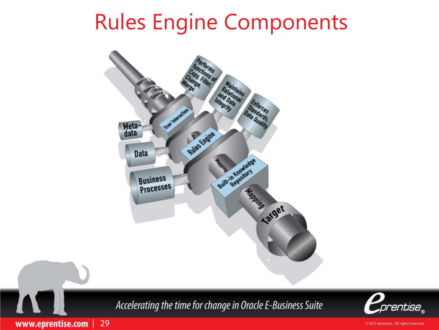### Rules Engine Components





www.eprentise.com | 29

J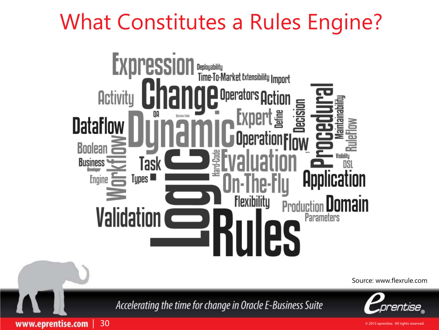### What Constitutes a Rules Engine?



prentise "

Accelerating the time for change in Oracle E-Business Suite

www.eprentise.com | 30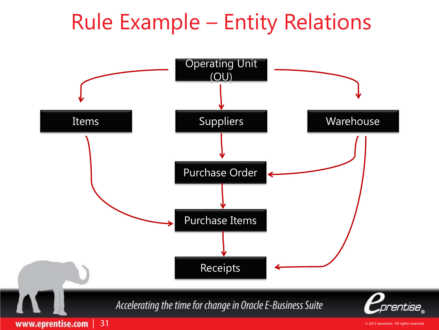### Rule Example – Entity Relations

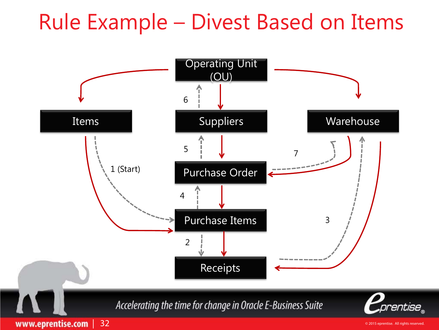### Rule Example – Divest Based on Items

![](_page_31_Figure_1.jpeg)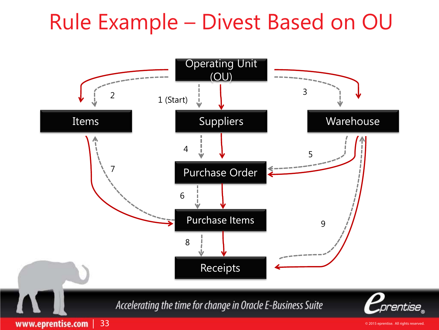### Rule Example – Divest Based on OU

![](_page_32_Figure_1.jpeg)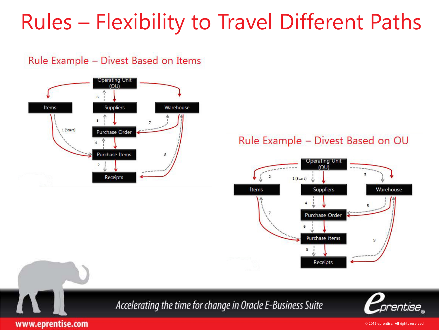### Rules – Flexibility to Travel Different Paths

#### Rule Example - Divest Based on Items

![](_page_33_Figure_2.jpeg)

#### Rule Example - Divest Based on OU

![](_page_33_Figure_4.jpeg)

![](_page_33_Picture_5.jpeg)

![](_page_33_Picture_6.jpeg)

www.eprentise.com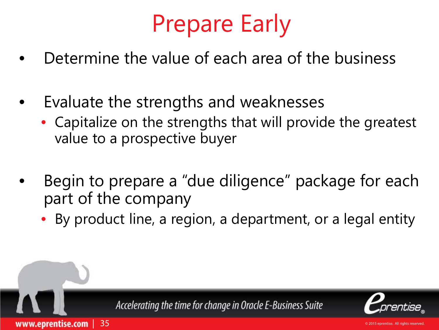## Prepare Early

- Determine the value of each area of the business
- Evaluate the strengths and weaknesses

| 35

www.eprentise.com

- Capitalize on the strengths that will provide the greatest value to a prospective buyer
- Begin to prepare a "due diligence" package for each part of the company
	- By product line, a region, a department, or a legal entity

![](_page_34_Picture_6.jpeg)

![](_page_34_Picture_7.jpeg)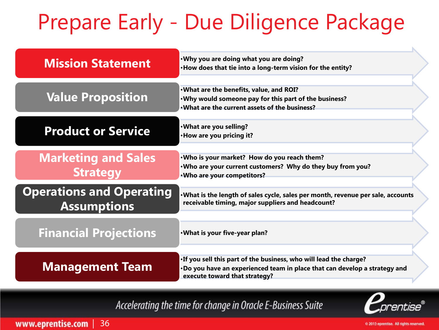## Prepare Early - Due Diligence Package

| <b>Mission Statement</b>                              | . Why you are doing what you are doing?<br>. How does that tie into a long-term vision for the entity?                                                                            |  |
|-------------------------------------------------------|-----------------------------------------------------------------------------------------------------------------------------------------------------------------------------------|--|
| <b>Value Proposition</b>                              | . What are the benefits, value, and ROI?<br>. Why would someone pay for this part of the business?<br>. What are the current assets of the business?                              |  |
| <b>Product or Service</b>                             | . What are you selling?<br>·How are you pricing it?                                                                                                                               |  |
| <b>Marketing and Sales</b><br><b>Strategy</b>         | . Who is your market? How do you reach them?<br>. Who are your current customers? Why do they buy from you?<br>. Who are your competitors?                                        |  |
| <b>Operations and Operating</b><br><b>Assumptions</b> | . What is the length of sales cycle, sales per month, revenue per sale, accounts<br>receivable timing, major suppliers and headcount?                                             |  |
| <b>Financial Projections</b>                          | . What is your five-year plan?                                                                                                                                                    |  |
| <b>Management Team</b>                                | . If you sell this part of the business, who will lead the charge?<br>. Do you have an experienced team in place that can develop a strategy and<br>execute toward that strategy? |  |

#### Accelerating the time for change in Oracle E-Business Suite

![](_page_35_Picture_3.jpeg)

www.eprentise.com | 36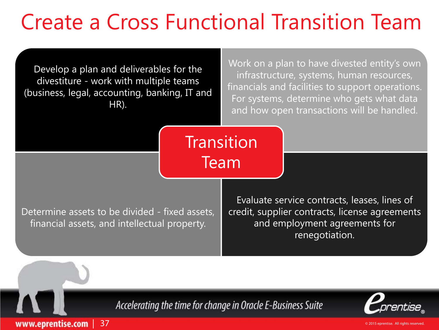### Create a Cross Functional Transition Team

Develop a plan and deliverables for the divestiture - work with multiple teams (business, legal, accounting, banking, IT and HR).

Work on a plan to have divested entity's own infrastructure, systems, human resources, financials and facilities to support operations. For systems, determine who gets what data and how open transactions will be handled.

**Transition** Team

Determine assets to be divided - fixed assets, financial assets, and intellectual property.

| 37

www.eprentise.com

Evaluate service contracts, leases, lines of credit, supplier contracts, license agreements and employment agreements for renegotiation.

Accelerating the time for change in Oracle E-Business Suite

![](_page_36_Picture_7.jpeg)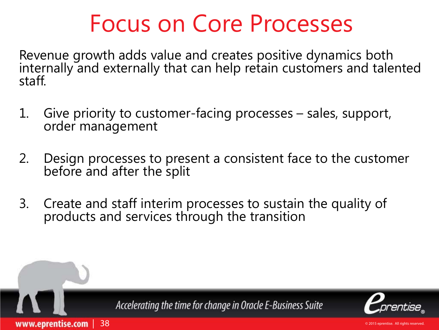### Focus on Core Processes

Revenue growth adds value and creates positive dynamics both internally and externally that can help retain customers and talented staff.

- 1. Give priority to customer-facing processes sales, support,<br>order management
- 2. Design processes to present a consistent face to the customer before and after the split
- 3. Create and staff interim processes to sustain the quality of products and services through the transition

| 38

www.eprentise.com

![](_page_37_Picture_6.jpeg)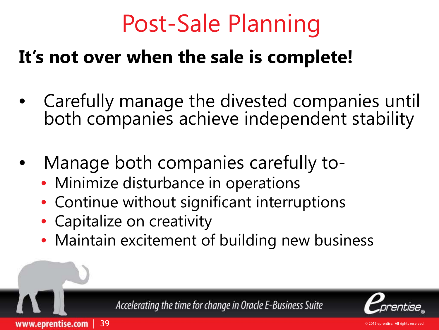## Post-Sale Planning

### **It's not over when the sale is complete!**

- Carefully manage the divested companies until both companies achieve independent stability
- Manage both companies carefully to-
	- Minimize disturbance in operations
	- Continue without significant interruptions
	- Capitalize on creativity

| 39

www.eprentise.com

• Maintain excitement of building new business

Accelerating the time for change in Oracle E-Business Suite

![](_page_38_Picture_9.jpeg)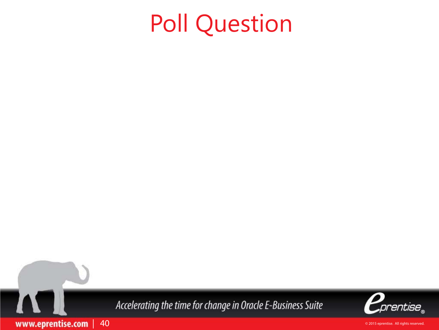## Poll Question

Accelerating the time for change in Oracle E-Business Suite

| 40

www.eprentise.com

![](_page_39_Picture_2.jpeg)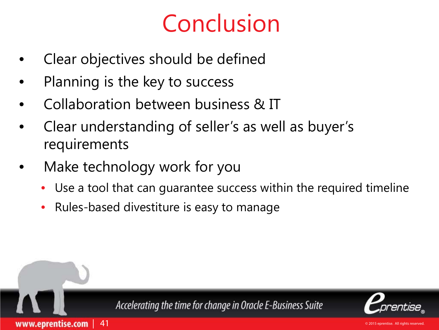## Conclusion

- Clear objectives should be defined
- Planning is the key to success
- Collaboration between business & IT
- Clear understanding of seller's as well as buyer's requirements
- Make technology work for you

| 41

www.eprentise.com

- Use a tool that can guarantee success within the required timeline
- Rules-based divestiture is easy to manage

![](_page_40_Picture_8.jpeg)

![](_page_40_Picture_9.jpeg)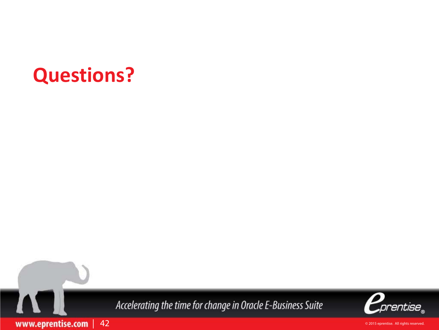### **Questions?**

Accelerating the time for change in Oracle E-Business Suite

![](_page_41_Picture_2.jpeg)

www.eprentise.com | 42

I